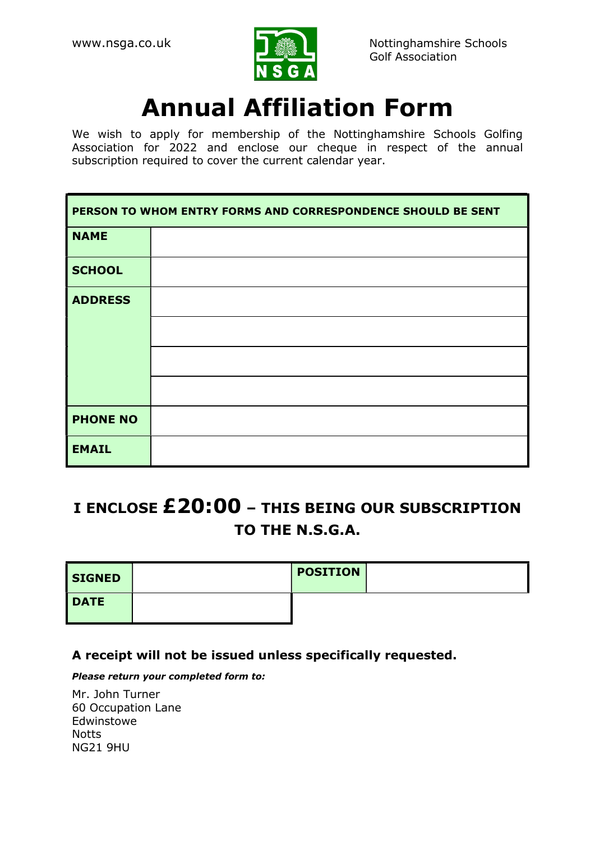

# Annual Affiliation Form

We wish to apply for membership of the Nottinghamshire Schools Golfing Association for 2022 and enclose our cheque in respect of the annual subscription required to cover the current calendar year.

| PERSON TO WHOM ENTRY FORMS AND CORRESPONDENCE SHOULD BE SENT |  |  |
|--------------------------------------------------------------|--|--|
| <b>NAME</b>                                                  |  |  |
| <b>SCHOOL</b>                                                |  |  |
| <b>ADDRESS</b>                                               |  |  |
|                                                              |  |  |
|                                                              |  |  |
|                                                              |  |  |
| <b>PHONE NO</b>                                              |  |  |
| <b>EMAIL</b>                                                 |  |  |

# I ENCLOSE £20:00 – THIS BEING OUR SUBSCRIPTION TO THE N.S.G.A.

| <b>SIGNED</b> | <b>POSITION</b> |  |
|---------------|-----------------|--|
| <b>DATE</b>   |                 |  |

### A receipt will not be issued unless specifically requested.

#### Please return your completed form to:

Mr. John Turner 60 Occupation Lane Edwinstowe **Notts** NG21 9HU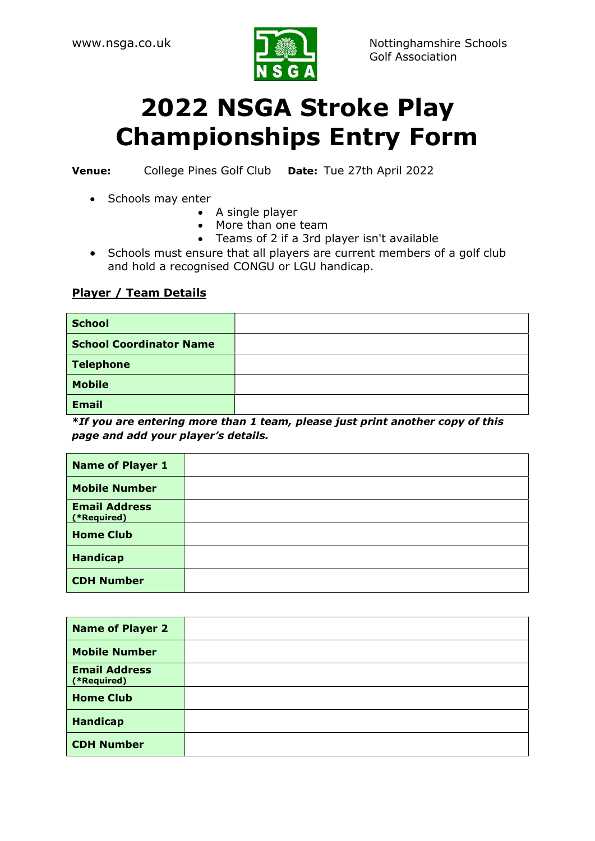

# 2022 NSGA Stroke Play Championships Entry Form

Venue: College Pines Golf Club Date: Tue 27th April 2022

- Schools may enter
	- A single player
	- More than one team
	- Teams of 2 if a 3rd player isn't available
- Schools must ensure that all players are current members of a golf club and hold a recognised CONGU or LGU handicap.

#### Player / Team Details

| <b>School</b>                  |  |
|--------------------------------|--|
| <b>School Coordinator Name</b> |  |
| <b>Telephone</b>               |  |
| <b>Mobile</b>                  |  |
| <b>Email</b>                   |  |

\*If you are entering more than 1 team, please just print another copy of this page and add your player's details.

| <b>Name of Player 1</b>             |  |
|-------------------------------------|--|
| <b>Mobile Number</b>                |  |
| <b>Email Address</b><br>(*Required) |  |
| <b>Home Club</b>                    |  |
| <b>Handicap</b>                     |  |
| <b>CDH Number</b>                   |  |

| <b>Name of Player 2</b>             |  |
|-------------------------------------|--|
| <b>Mobile Number</b>                |  |
| <b>Email Address</b><br>(*Required) |  |
| <b>Home Club</b>                    |  |
| <b>Handicap</b>                     |  |
| <b>CDH Number</b>                   |  |